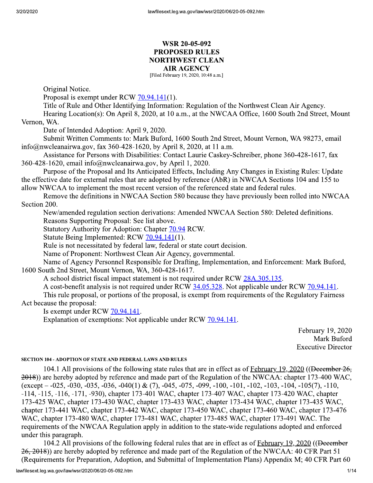# **WSR 20-05-092 PROPOSED RULES NORTHWEST CLEAN AIR AGENCY**

[Filed February 19, 2020, 10:48 a.m.]

Original Notice.

Proposal is exempt under RCW 70.94.141(1).

Title of Rule and Other Identifying Information: Regulation of the Northwest Clean Air Agency. Hearing Location(s): On April 8, 2020, at 10 a.m., at the NWCAA Office, 1600 South 2nd Street, Mount

Vernon, WA.

Date of Intended Adoption: April 9, 2020.

Submit Written Comments to: Mark Buford, 1600 South 2nd Street, Mount Vernon, WA 98273, email info@nwcleanairwa.gov, fax 360-428-1620, by April 8, 2020, at 11 a.m.

Assistance for Persons with Disabilities: Contact Laurie Caskey-Schreiber, phone 360-428-1617, fax 360-428-1620, email info@nwcleanairwa.gov, by April 1, 2020.

Purpose of the Proposal and Its Anticipated Effects, Including Any Changes in Existing Rules: Update the effective date for external rules that are adopted by reference (AbR) in NWCAA Sections 104 and 155 to allow NWCAA to implement the most recent version of the referenced state and federal rules.

Remove the definitions in NWCAA Section 580 because they have previously been rolled into NWCAA Section 200.

New/amended regulation section derivations: Amended NWCAA Section 580: Deleted definitions.

Reasons Supporting Proposal: See list above.

Statutory Authority for Adoption: Chapter 70.94 RCW.

Statute Being Implemented: RCW 70.94.141(1).

Rule is not necessitated by federal law, federal or state court decision.

Name of Proponent: Northwest Clean Air Agency, governmental.

Name of Agency Personnel Responsible for Drafting, Implementation, and Enforcement: Mark Buford, 1600 South 2nd Street, Mount Vernon, WA, 360-428-1617.

A school district fiscal impact statement is not required under RCW 28A.305.135.

A cost-benefit analysis is not required under RCW 34.05.328. Not applicable under RCW 70.94.141.

This rule proposal, or portions of the proposal, is exempt from requirements of the Regulatory Fairness Act because the proposal:

Is exempt under RCW 70.94.141.

Explanation of exemptions: Not applicable under RCW 70.94.141.

February 19, 2020 Mark Buford **Executive Director** 

#### **SECTION 104 - ADOPTION OF STATE AND FEDERAL LAWS AND RULES**

104.1 All provisions of the following state rules that are in effect as of February 19, 2020 ((December 26, 2018)) are hereby adopted by reference and made part of the Regulation of the NWCAA: chapter 173-400 WAC,  $(except -0.025, -0.030, -0.035, -0.036, -0.040(1) \& (7), -0.045, -0.075, -0.09, -1.00, -1.01, -1.02, -1.03, -1.04, -1.05(7), -1.10, -1.02)$ -114, -115, -116, -171, -930), chapter 173-401 WAC, chapter 173-407 WAC, chapter 173-420 WAC, chapter 173-425 WAC, chapter 173-430 WAC, chapter 173-433 WAC, chapter 173-434 WAC, chapter 173-435 WAC, chapter 173-441 WAC, chapter 173-442 WAC, chapter 173-450 WAC, chapter 173-460 WAC, chapter 173-476 WAC, chapter 173-480 WAC, chapter 173-481 WAC, chapter 173-485 WAC, chapter 173-491 WAC. The requirements of the NWCAA Regulation apply in addition to the state-wide regulations adopted and enforced under this paragraph.

104.2 All provisions of the following federal rules that are in effect as of February 19, 2020 ((December 26, 2018)) are hereby adopted by reference and made part of the Regulation of the NWCAA: 40 CFR Part 51 (Requirements for Preparation, Adoption, and Submittal of Implementation Plans) Appendix M; 40 CFR Part 60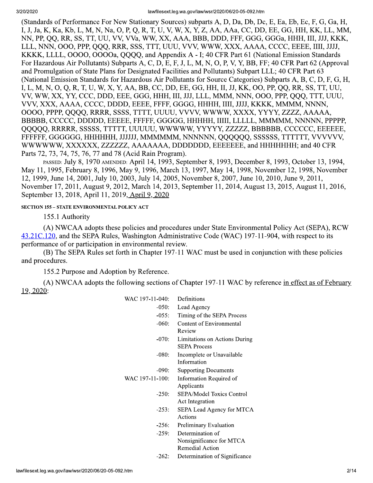(Standards of Performance For New Stationary Sources) subparts A, D, Da, Db, Dc, E, Ea, Eb, Ec, F, G, Ga, H, I, J, Ja, K, Ka, Kb, L, M, N, Na, O, P, Q, R, T, U, V, W, X, Y, Z, AA, AAa, CC, DD, EE, GG, HH, KK, LL, MM, NN, PP, OO, RR, SS, TT, UU, VV, VVa, WW, XX, AAA, BBB, DDD, FFF, GGG, GGGa, HHH, III, JJJ, KKK, LLL, NNN, OOO, PPP, QQQ, RRR, SSS, TTT, UUU, VVV, WWW, XXX, AAAA, CCCC, EEEE, IIII, JJJJ, KKKK, LLLL, OOOO, OOOOa, QQQQ, and Appendix A - I; 40 CFR Part 61 (National Emission Standards For Hazardous Air Pollutants) Subparts A, C, D, E, F, J, L, M, N, O, P, V, Y, BB, FF; 40 CFR Part 62 (Approval and Promulgation of State Plans for Designated Facilities and Pollutants) Subpart LLL; 40 CFR Part 63 (National Emission Standards for Hazardous Air Pollutants for Source Categories) Subparts A, B, C, D, F, G, H, I, L, M, N, O, Q, R, T, U, W, X, Y, AA, BB, CC, DD, EE, GG, HH, II, JJ, KK, OO, PP, QQ, RR, SS, TT, UU, VV, WW, XX, YY, CCC, DDD, EEE, GGG, HHH, III, JJJ, LLL, MMM, NNN, OOO, PPP, QQQ, TTT, UUU, VVV, XXX, AAAA, CCCC, DDDD, EEEE, FFFF, GGGG, HHHH, IIII, JJJJ, KKKK, MMMM, NNNN, OOOO, PPPP, QQQQ, RRRR, SSSS, TTTT, UUUU, VVVV, WWWW, XXXX, YYYY, ZZZZ, AAAAA, BBBBB, CCCCC, DDDDD, EEEEE, FFFFF, GGGGG, HHHHH, IIIII, LLLLL, MMMMM, NNNNN, PPPPP, QQQQQ, RRRRR, SSSSS, TTTTT, UUUUU, WWWWW, YYYYY, ZZZZZ, BBBBBB, CCCCCC, EEEEEE, FFFFFFF, GGGGGG, HHHHHH, JJJJJJ, MMMMMM, NNNNNN, QQQQQQ, SSSSSS, TTTTTT, VVVVVV, WWWWW, XXXXXX, ZZZZZZ, AAAAAAA, DDDDDDD, EEEEEEE, and HHHHHHH; and 40 CFR Parts 72, 73, 74, 75, 76, 77 and 78 (Acid Rain Program).

PASSED: July 8, 1970 AMENDED: April 14, 1993, September 8, 1993, December 8, 1993, October 13, 1994, May 11, 1995, February 8, 1996, May 9, 1996, March 13, 1997, May 14, 1998, November 12, 1998, November 12, 1999, June 14, 2001, July 10, 2003, July 14, 2005, November 8, 2007, June 10, 2010, June 9, 2011, November 17, 2011, August 9, 2012, March 14, 2013, September 11, 2014, August 13, 2015, August 11, 2016, September 13, 2018, April 11, 2019, April 9, 2020

### **SECTION 155 - STATE ENVIRONMENTAL POLICY ACT**

155.1 Authority

(A) NWCAA adopts these policies and procedures under State Environmental Policy Act (SEPA), RCW 43.21C.120, and the SEPA Rules, Washington Administrative Code (WAC) 197-11-904, with respect to its performance of or participation in environmental review.

(B) The SEPA Rules set forth in Chapter 197-11 WAC must be used in conjunction with these policies and procedures.

155.2 Purpose and Adoption by Reference.

(A) NWCAA adopts the following sections of Chapter 197-11 WAC by reference in effect as of February 19, 2020:

| WAC 197-11-040: | Definitions                                                            |
|-----------------|------------------------------------------------------------------------|
| $-050:$         | Lead Agency                                                            |
| $-055:$         | Timing of the SEPA Process                                             |
| $-060:$         | Content of Environmental<br>Review                                     |
| $-070:$         | Limitations on Actions During<br><b>SEPA Process</b>                   |
| $-080:$         | Incomplete or Unavailable<br>Information                               |
| $-090:$         | <b>Supporting Documents</b>                                            |
| WAC 197-11-100: | Information Required of<br>Applicants                                  |
| $-250:$         | SEPA/Model Toxics Control<br><b>Act Integration</b>                    |
| $-253:$         | SEPA Lead Agency for MTCA<br>Actions                                   |
| $-256:$         | Preliminary Evaluation                                                 |
| $-259:$         | Determination of<br>Nonsignificance for MTCA<br><b>Remedial Action</b> |
| -262:           | Determination of Significance                                          |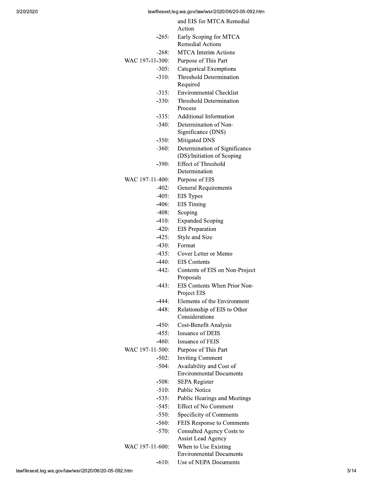|                 | and EIS for MTCA Remedial                   |
|-----------------|---------------------------------------------|
|                 | Action                                      |
| $-265:$         | Early Scoping for MTCA                      |
|                 | <b>Remedial Actions</b>                     |
| -268:           | <b>MTCA</b> Interim Actions                 |
| WAC 197-11-300: | Purpose of This Part                        |
| $-305:$         | Categorical Exemptions                      |
| $-310:$         | Threshold Determination                     |
|                 | Required                                    |
| $-315:$         | Environmental Checklist                     |
| $-330:$         | Threshold Determination                     |
|                 | Process                                     |
| $-335:$         | <b>Additional Information</b>               |
| $-340:$         | Determination of Non-                       |
|                 | Significance (DNS)                          |
| $-350:$         | Mitigated DNS                               |
| $-360:$         | Determination of Significance               |
|                 | (DS)/Initiation of Scoping                  |
| $-390:$         | <b>Effect of Threshold</b>                  |
|                 | Determination                               |
| WAC 197-11-400: | Purpose of EIS                              |
| $-402:$         | <b>General Requirements</b>                 |
| $-405:$         | EIS Types                                   |
| $-406:$         | <b>EIS</b> Timing                           |
| -408:           | Scoping                                     |
| $-410:$         | <b>Expanded Scoping</b>                     |
| $-420:$         | <b>EIS</b> Preparation                      |
| $-425:$         | Style and Size                              |
| $-430:$         | Format                                      |
| $-435:$         | Cover Letter or Memo                        |
| $-440:$         | <b>EIS</b> Contents                         |
| $-442:$         | Contents of EIS on Non-Project              |
|                 | Proposals                                   |
| -443:           | EIS Contents When Prior Non-<br>Project EIS |
| -444:           | Elements of the Environment                 |
| $-448:$         | Relationship of EIS to Other                |
|                 | Considerations                              |
| -450:           | Cost-Benefit Analysis                       |
| $-455:$         | <b>Issuance of DEIS</b>                     |
| $-460:$         | <b>Issuance of FEIS</b>                     |
| WAC 197-11-500: | Purpose of This Part                        |
| $-502:$         | <b>Inviting Comment</b>                     |
| $-504:$         | Availability and Cost of                    |
|                 | <b>Environmental Documents</b>              |
| -508:           | <b>SEPA Register</b>                        |
| $-510:$         | <b>Public Notice</b>                        |
| $-535:$         | Public Hearings and Meetings                |
| $-545:$         | <b>Effect of No Comment</b>                 |
| $-550:$         | Specificity of Comments                     |
| $-560:$         | FEIS Response to Comments                   |
| $-570:$         | Consulted Agency Costs to                   |
|                 | <b>Assist Lead Agency</b>                   |
| WAC 197-11-600: | When to Use Existing                        |
|                 | <b>Environmental Documents</b>              |
| $-610:$         | Use of NEPA Documents                       |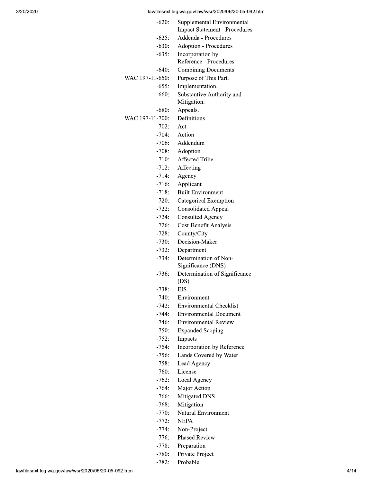| $-620:$         | Supplemental Environmental<br><b>Impact Statement - Procedures</b> |
|-----------------|--------------------------------------------------------------------|
| $-625:$         | Addenda - Procedures                                               |
| $-630:$         | <b>Adoption - Procedures</b>                                       |
| $-635:$         | Incorporation by                                                   |
|                 | Reference - Procedures                                             |
| -640:           | <b>Combining Documents</b>                                         |
| WAC 197-11-650: | Purpose of This Part.                                              |
| $-655:$         | Implementation.                                                    |
| $-660:$         | Substantive Authority and                                          |
|                 | Mitigation.                                                        |
| $-680:$         | Appeals.                                                           |
| WAC 197-11-700: | Definitions                                                        |
| $-702:$         | Act                                                                |
| $-704:$         | Action                                                             |
| $-706:$         | Addendum                                                           |
| $-708:$         | Adoption                                                           |
| $-710:$         | Affected Tribe                                                     |
| $-712:$         | Affecting                                                          |
| $-714:$         | Agency                                                             |
| $-716:$         | Applicant                                                          |
| $-718:$         | <b>Built Environment</b>                                           |
| $-720:$         | Categorical Exemption                                              |
| $-722:$         | <b>Consolidated Appeal</b>                                         |
| $-724:$         | <b>Consulted Agency</b>                                            |
| $-726:$         | Cost-Benefit Analysis                                              |
| $-728:$         | County/City                                                        |
| $-730:$         | Decision-Maker                                                     |
| $-732:$         | Department                                                         |
| $-734:$         | Determination of Non-                                              |
|                 | Significance (DNS)                                                 |
| $-736:$         | Determination of Significance                                      |
|                 | (DS)                                                               |
| -738:           | EIS                                                                |
| -740:           | Environment                                                        |
| $-742:$         | <b>Environmental Checklist</b>                                     |
| -744:           | <b>Environmental Document</b>                                      |
| $-746:$         | Environmental Review                                               |
| $-750:$         | <b>Expanded Scoping</b>                                            |
| $-752:$         | Impacts                                                            |
| $-754:$         | Incorporation by Reference                                         |
| $-756:$         | Lands Covered by Water                                             |
| $-758:$         | Lead Agency                                                        |
| $-760:$         | License                                                            |
| $-762:$         | Local Agency                                                       |
| $-764:$         | Major Action                                                       |
| $-766:$         | Mitigated DNS                                                      |
| $-768:$         | Mitigation                                                         |
| $-770:$         | Natural Environment                                                |
| -772:           | NEPA                                                               |
| $-774:$         | Non-Project                                                        |
| -776:           | <b>Phased Review</b>                                               |
| $-778:$         | Preparation                                                        |
| $-780:$         | Private Project                                                    |

 $-782:$ 

Probable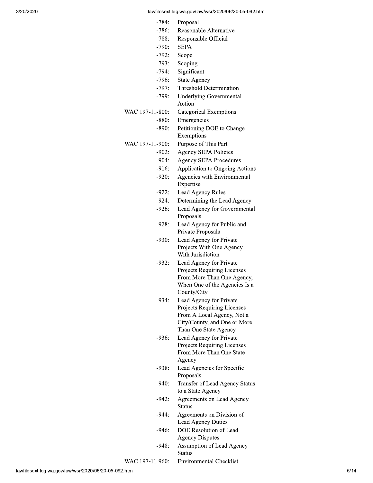| -784:           | Proposal                                            |
|-----------------|-----------------------------------------------------|
| $-786:$         | Reasonable Alternative                              |
| $-788:$         | Responsible Official                                |
| $-790:$         | <b>SEPA</b>                                         |
| $-792:$         | Scope                                               |
| $-793:$         | Scoping                                             |
| $-794:$         | Significant                                         |
| $-796:$         | <b>State Agency</b>                                 |
| $-797:$         | <b>Threshold Determination</b>                      |
| $-799:$         | <b>Underlying Governmental</b>                      |
|                 | Action                                              |
| WAC 197-11-800: | <b>Categorical Exemptions</b>                       |
| $-880:$         | Emergencies                                         |
| $-890:$         | Petitioning DOE to Change                           |
|                 | Exemptions                                          |
| WAC 197-11-900: | Purpose of This Part                                |
| $-902:$         | Agency SEPA Policies                                |
| $-904:$         | <b>Agency SEPA Procedures</b>                       |
| $-916:$         | Application to Ongoing Actions                      |
| $-920:$         | Agencies with Environmental                         |
|                 | Expertise                                           |
| -922:           | Lead Agency Rules                                   |
| $-924:$         | Determining the Lead Agency                         |
| $-926:$         | Lead Agency for Governmental<br>Proposals           |
| -928:           | Lead Agency for Public and<br>Private Proposals     |
| -930:           | Lead Agency for Private                             |
|                 | Projects With One Agency                            |
|                 | With Jurisdiction                                   |
| $-932:$         | Lead Agency for Private                             |
|                 | Projects Requiring Licenses                         |
|                 | From More Than One Agency,                          |
|                 | When One of the Agencies Is a<br>County/City        |
| $-934:$         | Lead Agency for Private                             |
|                 | Projects Requiring Licenses                         |
|                 | From A Local Agency, Not a                          |
|                 | City/County, and One or More                        |
|                 | Than One State Agency                               |
| $-936:$         | Lead Agency for Private                             |
|                 | Projects Requiring Licenses                         |
|                 | From More Than One State                            |
|                 | Agency                                              |
| -938:           | Lead Agencies for Specific                          |
|                 | Proposals                                           |
| $-940:$         | Transfer of Lead Agency Status<br>to a State Agency |
| $-942:$         | <b>Agreements on Lead Agency</b><br>Status          |
| -944:           | Agreements on Division of<br>Lead Agency Duties     |
| -946:           | DOE Resolution of Lead<br><b>Agency Disputes</b>    |
| -948:           | Assumption of Lead Agency<br><b>Status</b>          |
| WAC 197-11-960: | <b>Environmental Checklist</b>                      |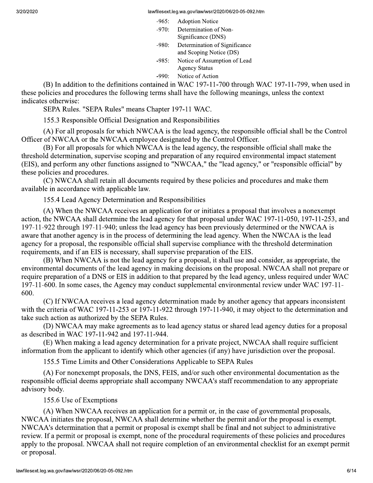| $-965:$ | <b>Adoption Notice</b>        |
|---------|-------------------------------|
| $-970:$ | Determination of Non-         |
|         | Significance (DNS)            |
| $-980:$ | Determination of Significance |
|         | and Scoping Notice (DS)       |
| $-985:$ | Notice of Assumption of Lead  |
|         | <b>Agency Status</b>          |
|         | Notice of Action              |

(B) In addition to the definitions contained in WAC 197-11-700 through WAC 197-11-799, when used in these policies and procedures the following terms shall have the following meanings, unless the context indicates otherwise:

SEPA Rules. "SEPA Rules" means Chapter 197-11 WAC.

155.3 Responsible Official Designation and Responsibilities

(A) For all proposals for which NWCAA is the lead agency, the responsible official shall be the Control Officer of NWCAA or the NWCAA employee designated by the Control Officer.

(B) For all proposals for which NWCAA is the lead agency, the responsible official shall make the threshold determination, supervise scoping and preparation of any required environmental impact statement (EIS), and perform any other functions assigned to "NWCAA," the "lead agency," or "responsible official" by these policies and procedures.

(C) NWCAA shall retain all documents required by these policies and procedures and make them available in accordance with applicable law.

155.4 Lead Agency Determination and Responsibilities

(A) When the NWCAA receives an application for or initiates a proposal that involves a nonexempt action, the NWCAA shall determine the lead agency for that proposal under WAC 197-11-050, 197-11-253, and 197-11-922 through 197-11-940; unless the lead agency has been previously determined or the NWCAA is aware that another agency is in the process of determining the lead agency. When the NWCAA is the lead agency for a proposal, the responsible official shall supervise compliance with the threshold determination requirements, and if an EIS is necessary, shall supervise preparation of the EIS.

(B) When NWCAA is not the lead agency for a proposal, it shall use and consider, as appropriate, the environmental documents of the lead agency in making decisions on the proposal. NWCAA shall not prepare or require preparation of a DNS or EIS in addition to that prepared by the lead agency, unless required under WAC 197-11-600. In some cases, the Agency may conduct supplemental environmental review under WAC 197-11-600.

(C) If NWCAA receives a lead agency determination made by another agency that appears inconsistent with the criteria of WAC 197-11-253 or 197-11-922 through 197-11-940, it may object to the determination and take such action as authorized by the SEPA Rules.

(D) NWCAA may make agreements as to lead agency status or shared lead agency duties for a proposal as described in WAC 197-11-942 and 197-11-944.

(E) When making a lead agency determination for a private project, NWCAA shall require sufficient information from the applicant to identify which other agencies (if any) have jurisdiction over the proposal.

155.5 Time Limits and Other Considerations Applicable to SEPA Rules

(A) For nonexempt proposals, the DNS, FEIS, and/or such other environmental documentation as the responsible official deems appropriate shall accompany NWCAA's staff recommendation to any appropriate advisory body.

155.6 Use of Exemptions

(A) When NWCAA receives an application for a permit or, in the case of governmental proposals, NWCAA initiates the proposal, NWCAA shall determine whether the permit and/or the proposal is exempt. NWCAA's determination that a permit or proposal is exempt shall be final and not subject to administrative review. If a permit or proposal is exempt, none of the procedural requirements of these policies and procedures apply to the proposal. NWCAA shall not require completion of an environmental checklist for an exempt permit or proposal.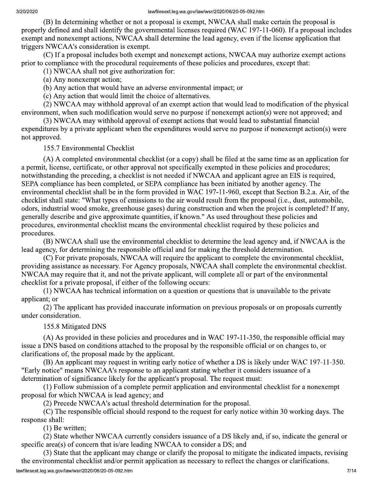(B) In determining whether or not a proposal is exempt, NWCAA shall make certain the proposal is properly defined and shall identify the governmental licenses required (WAC 197-11-060). If a proposal includes exempt and nonexempt actions, NWCAA shall determine the lead agency, even if the license application that triggers NWCAA's consideration is exempt.

(C) If a proposal includes both exempt and nonexempt actions, NWCAA may authorize exempt actions prior to compliance with the procedural requirements of these policies and procedures, except that:

(1) NWCAA shall not give authorization for:

(a) Any nonexempt action;

(b) Any action that would have an adverse environmental impact; or

(c) Any action that would limit the choice of alternatives.

(2) NWCAA may withhold approval of an exempt action that would lead to modification of the physical environment, when such modification would serve no purpose if nonexempt action(s) were not approved; and

(3) NWCAA may withhold approval of exempt actions that would lead to substantial financial expenditures by a private applicant when the expenditures would serve no purpose if nonexempt action(s) were not approved.

155.7 Environmental Checklist

(A) A completed environmental checklist (or a copy) shall be filed at the same time as an application for a permit, license, certificate, or other approval not specifically exempted in these policies and procedures; notwithstanding the preceding, a checklist is not needed if NWCAA and applicant agree an EIS is required, SEPA compliance has been completed, or SEPA compliance has been initiated by another agency. The environmental checklist shall be in the form provided in WAC 197-11-960, except that Section B.2.a. Air, of the checklist shall state: "What types of emissions to the air would result from the proposal (i.e., dust, automobile, odors, industrial wood smoke, greenhouse gases) during construction and when the project is completed? If any, generally describe and give approximate quantities, if known." As used throughout these policies and procedures, environmental checklist means the environmental checklist required by these policies and procedures.

(B) NWCAA shall use the environmental checklist to determine the lead agency and, if NWCAA is the lead agency, for determining the responsible official and for making the threshold determination.

(C) For private proposals, NWCAA will require the applicant to complete the environmental checklist, providing assistance as necessary. For Agency proposals, NWCAA shall complete the environmental checklist. NWCAA may require that it, and not the private applicant, will complete all or part of the environmental checklist for a private proposal, if either of the following occurs:

(1) NWCAA has technical information on a question or questions that is unavailable to the private applicant; or

(2) The applicant has provided inaccurate information on previous proposals or on proposals currently under consideration.

## 155.8 Mitigated DNS

(A) As provided in these policies and procedures and in WAC 197-11-350, the responsible official may issue a DNS based on conditions attached to the proposal by the responsible official or on changes to, or clarifications of, the proposal made by the applicant.

(B) An applicant may request in writing early notice of whether a DS is likely under WAC 197-11-350. "Early notice" means NWCAA's response to an applicant stating whether it considers issuance of a determination of significance likely for the applicant's proposal. The request must:

(1) Follow submission of a complete permit application and environmental checklist for a nonexempt proposal for which NWCAA is lead agency; and

(2) Precede NWCAA's actual threshold determination for the proposal.

(C) The responsible official should respond to the request for early notice within 30 working days. The response shall:

 $(1)$  Be written:

(2) State whether NWCAA currently considers issuance of a DS likely and, if so, indicate the general or specific area(s) of concern that is/are leading NWCAA to consider a DS; and

(3) State that the applicant may change or clarify the proposal to mitigate the indicated impacts, revising the environmental checklist and/or permit application as necessary to reflect the changes or clarifications.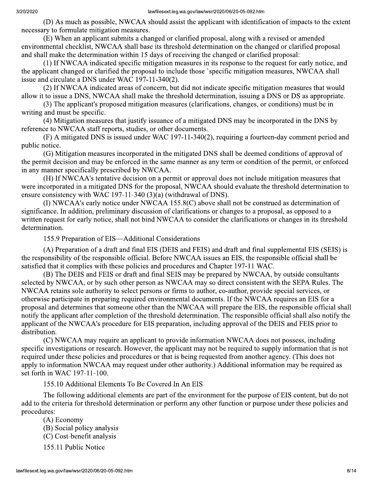(D) As much as possible, NWCAA should assist the applicant with identification of impacts to the extent necessary to formulate mitigation measures.

(E) When an applicant submits a changed or clarified proposal, along with a revised or amended environmental checklist, NWCAA shall base its threshold determination on the changed or clarified proposal and shall make the determination within 15 days of receiving the changed or clarified proposal:

(1) If NWCAA indicated specific mitigation measures in its response to the request for early notice, and the applicant changed or clarified the proposal to include those 'specific mitigation measures, NWCAA shall issue and circulate a DNS under WAC 197-11-340(2).

(2) If NWCAA indicated areas of concern, but did not indicate specific mitigation measures that would allow it to issue a DNS, NWCAA shall make the threshold determination, issuing a DNS or DS as appropriate.

(3) The applicant's proposed mitigation measures (clarifications, changes, or conditions) must be in writing and must be specific.

(4) Mitigation measures that justify issuance of a mitigated DNS may be incorporated in the DNS by reference to NWCAA staff reports, studies, or other documents.

(F) A mitigated DNS is issued under WAC 197-11-340(2), requiring a fourteen-day comment period and public notice.

(G) Mitigation measures incorporated in the mitigated DNS shall be deemed conditions of approval of the permit decision and may be enforced in the same manner as any term or condition of the permit, or enforced in any manner specifically prescribed by NWCAA.

(H) If NWCAA's tentative decision on a permit or approval does not include mitigation measures that were incorporated in a mitigated DNS for the proposal, NWCAA should evaluate the threshold determination to ensure consistency with WAC 197-11-340  $(3)(a)$  (withdrawal of DNS).

(I) NWCAA's early notice under NWCAA 155.8(C) above shall not be construed as determination of significance. In addition, preliminary discussion of clarifications or changes to a proposal, as opposed to a written request for early notice, shall not bind NWCAA to consider the clarifications or changes in its threshold determination.

155.9 Preparation of EIS—Additional Considerations

(A) Preparation of a draft and final EIS (DEIS and FEIS) and draft and final supplemental EIS (SEIS) is the responsibility of the responsible official. Before NWCAA issues an EIS, the responsible official shall be satisfied that it complies with these policies and procedures and Chapter 197-11 WAC.

(B) The DEIS and FEIS or draft and final SEIS may be prepared by NWCAA, by outside consultants selected by NWCAA, or by such other person as NWCAA may so direct consistent with the SEPA Rules. The NWCAA retains sole authority to select persons or firms to author, co-author, provide special services, or otherwise participate in preparing required environmental documents. If the NWCAA requires an EIS for a proposal and determines that someone other than the NWCAA will prepare the EIS, the responsible official shall notify the applicant after completion of the threshold determination. The responsible official shall also notify the applicant of the NWCAA's procedure for EIS preparation, including approval of the DEIS and FEIS prior to distribution.

(C) NWCAA may require an applicant to provide information NWCAA does not possess, including specific investigations or research. However, the applicant may not be required to supply information that is not required under these policies and procedures or that is being requested from another agency. (This does not apply to information NWCAA may request under other authority.) Additional information may be required as set forth in WAC 197-11-100.

155.10 Additional Elements To Be Covered In An EIS

The following additional elements are part of the environment for the purpose of EIS content, but do not add to the criteria for threshold determination or perform any other function or purpose under these policies and procedures:

 $(A)$  Economy

- (B) Social policy analysis
- (C) Cost-benefit analysis
- 155.11 Public Notice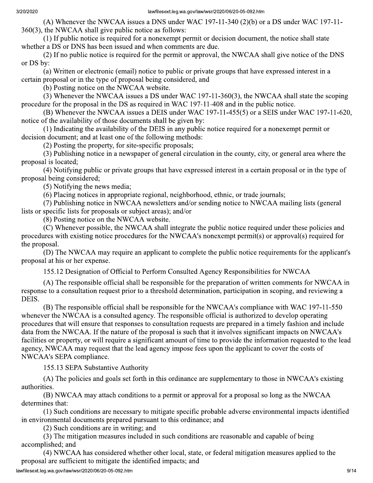(A) Whenever the NWCAA issues a DNS under WAC 197-11-340  $(2)(b)$  or a DS under WAC 197-11-360(3), the NWCAA shall give public notice as follows:

(1) If public notice is required for a nonexempt permit or decision document, the notice shall state whether a DS or DNS has been issued and when comments are due.

(2) If no public notice is required for the permit or approval, the NWCAA shall give notice of the DNS or DS by:

(a) Written or electronic (email) notice to public or private groups that have expressed interest in a certain proposal or in the type of proposal being considered, and

(b) Posting notice on the NWCAA website.

(3) Whenever the NWCAA issues a DS under WAC 197-11-360(3), the NWCAA shall state the scoping procedure for the proposal in the DS as required in WAC 197-11-408 and in the public notice.

(B) Whenever the NWCAA issues a DEIS under WAC 197-11-455(5) or a SEIS under WAC 197-11-620, notice of the availability of those documents shall be given by:

(1) Indicating the availability of the DEIS in any public notice required for a nonexempt permit or decision document; and at least one of the following methods:

(2) Posting the property, for site-specific proposals;

(3) Publishing notice in a newspaper of general circulation in the county, city, or general area where the proposal is located:

(4) Notifying public or private groups that have expressed interest in a certain proposal or in the type of proposal being considered;

(5) Notifying the news media;

(6) Placing notices in appropriate regional, neighborhood, ethnic, or trade journals;

(7) Publishing notice in NWCAA newsletters and/or sending notice to NWCAA mailing lists (general lists or specific lists for proposals or subject areas); and/or

(8) Posting notice on the NWCAA website.

(C) Whenever possible, the NWCAA shall integrate the public notice required under these policies and procedures with existing notice procedures for the NWCAA's nonexempt permit(s) or approval(s) required for the proposal.

(D) The NWCAA may require an applicant to complete the public notice requirements for the applicant's proposal at his or her expense.

155.12 Designation of Official to Perform Consulted Agency Responsibilities for NWCAA

(A) The responsible official shall be responsible for the preparation of written comments for NWCAA in response to a consultation request prior to a threshold determination, participation in scoping, and reviewing a DEIS.

(B) The responsible official shall be responsible for the NWCAA's compliance with WAC 197-11-550 whenever the NWCAA is a consulted agency. The responsible official is authorized to develop operating procedures that will ensure that responses to consultation requests are prepared in a timely fashion and include data from the NWCAA. If the nature of the proposal is such that it involves significant impacts on NWCAA's facilities or property, or will require a significant amount of time to provide the information requested to the lead agency, NWCAA may request that the lead agency impose fees upon the applicant to cover the costs of NWCAA's SEPA compliance.

155.13 SEPA Substantive Authority

(A) The policies and goals set forth in this ordinance are supplementary to those in NWCAA's existing authorities.

(B) NWCAA may attach conditions to a permit or approval for a proposal so long as the NWCAA determines that:

(1) Such conditions are necessary to mitigate specific probable adverse environmental impacts identified in environmental documents prepared pursuant to this ordinance; and

(2) Such conditions are in writing; and

(3) The mitigation measures included in such conditions are reasonable and capable of being accomplished; and

(4) NWCAA has considered whether other local, state, or federal mitigation measures applied to the proposal are sufficient to mitigate the identified impacts; and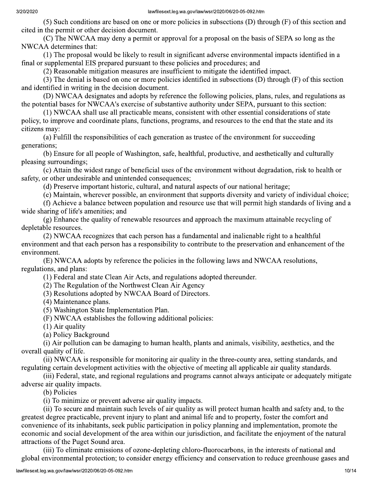(5) Such conditions are based on one or more policies in subsections (D) through (F) of this section and cited in the permit or other decision document.

(C) The NWCAA may deny a permit or approval for a proposal on the basis of SEPA so long as the NWCAA determines that:

(1) The proposal would be likely to result in significant adverse environmental impacts identified in a final or supplemental EIS prepared pursuant to these policies and procedures; and

(2) Reasonable mitigation measures are insufficient to mitigate the identified impact.

(3) The denial is based on one or more policies identified in subsections (D) through (F) of this section and identified in writing in the decision document.

(D) NWCAA designates and adopts by reference the following policies, plans, rules, and regulations as the potential bases for NWCAA's exercise of substantive authority under SEPA, pursuant to this section:

(1) NWCAA shall use all practicable means, consistent with other essential considerations of state policy, to improve and coordinate plans, functions, programs, and resources to the end that the state and its citizens may:

(a) Fulfill the responsibilities of each generation as trustee of the environment for succeeding generations;

(b) Ensure for all people of Washington, safe, healthful, productive, and aesthetically and culturally pleasing surroundings:

(c) Attain the widest range of beneficial uses of the environment without degradation, risk to health or safety, or other undesirable and unintended consequences;

(d) Preserve important historic, cultural, and natural aspects of our national heritage;

(e) Maintain, wherever possible, an environment that supports diversity and variety of individual choice;

(f) Achieve a balance between population and resource use that will permit high standards of living and a wide sharing of life's amenities; and

(g) Enhance the quality of renewable resources and approach the maximum attainable recycling of depletable resources.

(2) NWCAA recognizes that each person has a fundamental and inalienable right to a healthful environment and that each person has a responsibility to contribute to the preservation and enhancement of the environment.

(E) NWCAA adopts by reference the policies in the following laws and NWCAA resolutions, regulations, and plans:

(1) Federal and state Clean Air Acts, and regulations adopted thereunder.

(2) The Regulation of the Northwest Clean Air Agency

(3) Resolutions adopted by NWCAA Board of Directors.

(4) Maintenance plans.

(5) Washington State Implementation Plan.

(F) NWCAA establishes the following additional policies:

 $(1)$  Air quality

(a) Policy Background

(i) Air pollution can be damaging to human health, plants and animals, visibility, aesthetics, and the overall quality of life.

(ii) NWCAA is responsible for monitoring air quality in the three-county area, setting standards, and regulating certain development activities with the objective of meeting all applicable air quality standards.

(iii) Federal, state, and regional regulations and programs cannot always anticipate or adequately mitigate adverse air quality impacts.

(b) Policies

(i) To minimize or prevent adverse air quality impacts.

(ii) To secure and maintain such levels of air quality as will protect human health and safety and, to the greatest degree practicable, prevent injury to plant and animal life and to property, foster the comfort and convenience of its inhabitants, seek public participation in policy planning and implementation, promote the economic and social development of the area within our jurisdiction, and facilitate the enjoyment of the natural attractions of the Puget Sound area.

(iii) To eliminate emissions of ozone-depleting chloro-fluorocarbons, in the interests of national and global environmental protection; to consider energy efficiency and conservation to reduce greenhouse gases and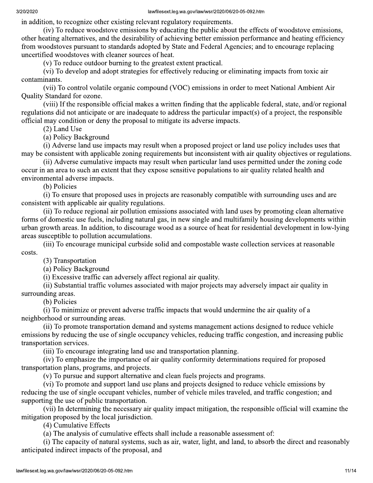in addition, to recognize other existing relevant regulatory requirements.

(iv) To reduce woodstove emissions by educating the public about the effects of woodstove emissions, other heating alternatives, and the desirability of achieving better emission performance and heating efficiency from woodstoves pursuant to standards adopted by State and Federal Agencies; and to encourage replacing uncertified woodstoves with cleaner sources of heat.

(v) To reduce outdoor burning to the greatest extent practical.

(vi) To develop and adopt strategies for effectively reducing or eliminating impacts from toxic air contaminants.

(vii) To control volatile organic compound (VOC) emissions in order to meet National Ambient Air Quality Standard for ozone.

(viii) If the responsible official makes a written finding that the applicable federal, state, and/or regional regulations did not anticipate or are inadequate to address the particular impact(s) of a project, the responsible official may condition or deny the proposal to mitigate its adverse impacts.

(2) Land Use

(a) Policy Background

(i) Adverse land use impacts may result when a proposed project or land use policy includes uses that may be consistent with applicable zoning requirements but inconsistent with air quality objectives or regulations.

(ii) Adverse cumulative impacts may result when particular land uses permitted under the zoning code occur in an area to such an extent that they expose sensitive populations to air quality related health and environmental adverse impacts.

(b) Policies

(i) To ensure that proposed uses in projects are reasonably compatible with surrounding uses and are consistent with applicable air quality regulations.

(ii) To reduce regional air pollution emissions associated with land uses by promoting clean alternative forms of domestic use fuels, including natural gas, in new single and multifamily housing developments within urban growth areas. In addition, to discourage wood as a source of heat for residential development in low-lying areas susceptible to pollution accumulations.

(iii) To encourage municipal curbside solid and compostable waste collection services at reasonable costs.

(3) Transportation

(a) Policy Background

(i) Excessive traffic can adversely affect regional air quality.

(ii) Substantial traffic volumes associated with major projects may adversely impact air quality in surrounding areas.

(b) Policies

(i) To minimize or prevent adverse traffic impacts that would undermine the air quality of a neighborhood or surrounding areas.

(ii) To promote transportation demand and systems management actions designed to reduce vehicle emissions by reducing the use of single occupancy vehicles, reducing traffic congestion, and increasing public transportation services.

(iii) To encourage integrating land use and transportation planning.

(iv) To emphasize the importance of air quality conformity determinations required for proposed transportation plans, programs, and projects.

(v) To pursue and support alternative and clean fuels projects and programs.

(vi) To promote and support land use plans and projects designed to reduce vehicle emissions by reducing the use of single occupant vehicles, number of vehicle miles traveled, and traffic congestion; and supporting the use of public transportation.

(vii) In determining the necessary air quality impact mitigation, the responsible official will examine the mitigation proposed by the local jurisdiction.

(4) Cumulative Effects

(a) The analysis of cumulative effects shall include a reasonable assessment of:

(i) The capacity of natural systems, such as air, water, light, and land, to absorb the direct and reasonably anticipated indirect impacts of the proposal, and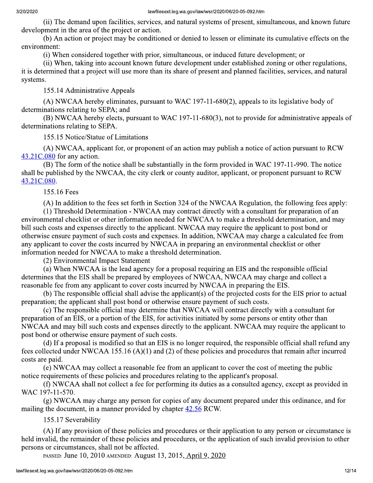(ii) The demand upon facilities, services, and natural systems of present, simultaneous, and known future development in the area of the project or action.

(b) An action or project may be conditioned or denied to lessen or eliminate its cumulative effects on the environment:

(i) When considered together with prior, simultaneous, or induced future development; or

(ii) When, taking into account known future development under established zoning or other regulations, it is determined that a project will use more than its share of present and planned facilities, services, and natural systems.

155.14 Administrative Appeals

(A) NWCAA hereby eliminates, pursuant to WAC 197-11-680(2), appeals to its legislative body of determinations relating to SEPA; and

(B) NWCAA hereby elects, pursuant to WAC 197-11-680(3), not to provide for administrative appeals of determinations relating to SEPA.

155.15 Notice/Statue of Limitations

(A) NWCAA, applicant for, or proponent of an action may publish a notice of action pursuant to RCW  $43.21C.080$  for any action.

(B) The form of the notice shall be substantially in the form provided in WAC 197-11-990. The notice shall be published by the NWCAA, the city clerk or county auditor, applicant, or proponent pursuant to RCW 43.21C.080.

## 155.16 Fees

(A) In addition to the fees set forth in Section 324 of the NWCAA Regulation, the following fees apply:

(1) Threshold Determination - NWCAA may contract directly with a consultant for preparation of an environmental checklist or other information needed for NWCAA to make a threshold determination, and may bill such costs and expenses directly to the applicant. NWCAA may require the applicant to post bond or otherwise ensure payment of such costs and expenses. In addition, NWCAA may charge a calculated fee from any applicant to cover the costs incurred by NWCAA in preparing an environmental checklist or other information needed for NWCAA to make a threshold determination.

(2) Environmental Impact Statement

(a) When NWCAA is the lead agency for a proposal requiring an EIS and the responsible official determines that the EIS shall be prepared by employees of NWCAA, NWCAA may charge and collect a reasonable fee from any applicant to cover costs incurred by NWCAA in preparing the EIS.

(b) The responsible official shall advise the applicant(s) of the projected costs for the EIS prior to actual preparation; the applicant shall post bond or otherwise ensure payment of such costs.

(c) The responsible official may determine that NWCAA will contract directly with a consultant for preparation of an EIS, or a portion of the EIS, for activities initiated by some persons or entity other than NWCAA and may bill such costs and expenses directly to the applicant. NWCAA may require the applicant to post bond or otherwise ensure payment of such costs.

(d) If a proposal is modified so that an EIS is no longer required, the responsible official shall refund any fees collected under NWCAA 155.16  $(A)(1)$  and  $(2)$  of these policies and procedures that remain after incurred costs are paid.

(e) NWCAA may collect a reasonable fee from an applicant to cover the cost of meeting the public notice requirements of these policies and procedures relating to the applicant's proposal.

(f) NWCAA shall not collect a fee for performing its duties as a consulted agency, except as provided in WAC 197-11-570.

(g) NWCAA may charge any person for copies of any document prepared under this ordinance, and for mailing the document, in a manner provided by chapter 42.56 RCW.

155.17 Severability

(A) If any provision of these policies and procedures or their application to any person or circumstance is held invalid, the remainder of these policies and procedures, or the application of such invalid provision to other persons or circumstances, shall not be affected.

PASSED: June 10, 2010 AMENDED: August 13, 2015, April 9, 2020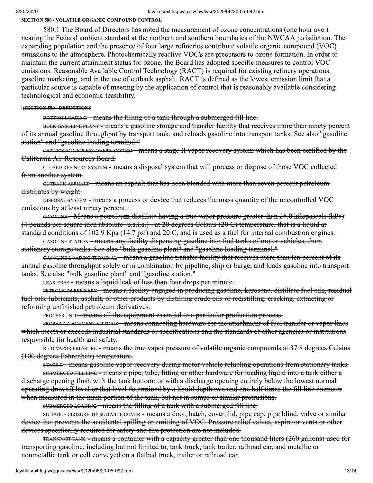**SECTION 580 - VOLATILE ORGANIC COMPOUND CONTROL** 

580.1 The Board of Directors has noted the measurement of ozone concentrations (one hour ave.) nearing the Federal ambient standard at the northern and southern boundaries of the NWCAA jurisdiction. The expanding population and the presence of four large refineries contribute volatile organic compound (VOC) emissions to the atmosphere. Photochemically reactive VOC's are precursors to ozone formation. In order to maintain the current attainment status for ozone, the Board has adopted specific measures to control VOC emissions. Reasonable Available Control Technology (RACT) is required for existing refinery operations, gasoline marketing, and in the use of cutback asphalt. RACT is defined as the lowest emission limit that a particular source is capable of meeting by the application of control that is reasonably available considering technological and economic feasibility.

#### ((SECTION 580 - DEFINITIONS

BOTTOM LOADING - means the filling of a tank through a submerged fill line.

BULK GASOLINE PLANT - means a gasoline storage and transfer facility that receives more than ninety percent of its annual gasoline throughput by transport tank, and reloads gasoline into transport tanks. See also "gasoline station" and "gasoline loading terminal."

CERTIFIED VAPOR RECOVERY SYSTEM - means a stage II vapor recovery system which has been certified by the California Air Resources Board.

CLOSED REFINERY SYSTEM - means a disposal system that will process or dispose of those VOC collected from another system.

CUTBACK ASPHALT – means an asphalt that has been blended with more than seven percent petroleum distillates by weight.

DISPOSAL SYSTEM - means a process or device that reduces the mass quantity of the uncontrolled VOC emissions by at least ninety percent.

GASOLINE - Means a petroleum distillate having a true vapor pressure greater than 28.0 kilopaseals (kPa)  $(4$  pounds per square inch absolute -p.s.i.a.) - at 20 degrees Celsius (20 C) temperature, that is a liquid at standard conditions of 102.9 Kpa (14.7 psi) and 20 C, and is used as a fuel for internal combustion engines.

GASOLINE STATION - means any facility dispensing gasoline into fuel tanks of motor vehicles, from stationary storage tanks. See also "bulk gasoline plant" and "gasoline loading terminal."

GASOLINE LOADING TERMINAL - means a gasoline transfer facility that receives more than ten percent of its annual gasoline throughput solely or in combination by pipeline, ship or barge, and loads gasoline into transport tanks. See also "bulk gasoline plant" and "gasoline station."

LEAK FREE - means a liquid leak of less than four drops per minute.

PETROLEUM REFINERY - means a facility engaged in producing gasoline, kerosene, distillate fuel oils, residual fuel oils, lubricants, asphalt, or other products by distilling crude oils or redistilling, cracking, extracting or reforming unfinished petroleum derivatives.

**PROCESS UNIT - means all the equipment essential to a particular production process.** 

PROPER ATTACHMENT FITTINGS - means connecting hardware for the attachment of fuel transfer or vapor lines which meets or exceeds industrial standards or specifications and the standards of other agencies or institutions responsible for health and safety.

REID VAPOR PRESSURE - means the true vapor pressure of volatile organie compounds at 37.8 degrees Celsius (100 degrees Fahrenheit) temperature.

sTAGE II - means gasoline vapor recovery during motor vehicle refueling operations from stationary tanks.

SUBMERGED FILL LINE - means a pipe, tube, fitting or other hardware for loading liquid into a tank either a discharge opening flush with the tank bottom; or with a discharge opening entirely below the lowest normal operating drawoff level or that level determined by a liquid depth two and one half times the fill line diameter when measured in the main portion of the tank, but not in sumps or similar protrusions.

SUBMERGED LOADING - means the filling of a tank with a submerged fill line.

SUITABLE CLOSURE OF SUITABLE COVER - means a door, hatch, cover, lid, pipe cap, pipe blind, valve or similar device that prevents the accidental spilling or emitting of VOC. Pressure relief valves, aspirator vents or other devices specifically required for safety and fire protection are not included.

TRANSPORT TANK - means a container with a capacity greater than one thousand liters (260 gallons) used for transporting gasoline, including but not limited to, tank truck, tank trailer, railroad car, and metallic or nonmetallie tank or cell conveyed on a flatbed truck, trailer or railroad car.